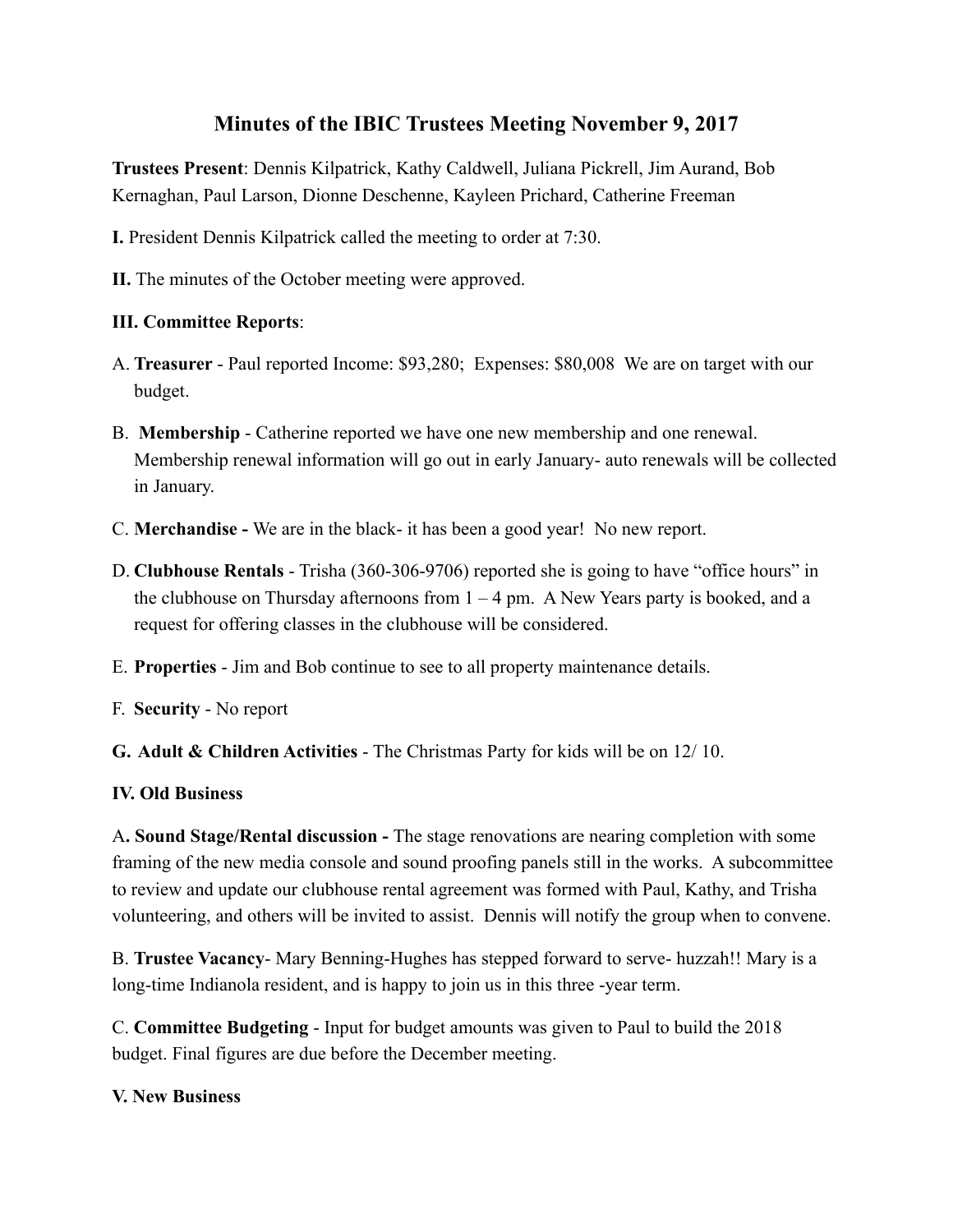# **Minutes of the IBIC Trustees Meeting November 9, 2017**

**Trustees Present**: Dennis Kilpatrick, Kathy Caldwell, Juliana Pickrell, Jim Aurand, Bob Kernaghan, Paul Larson, Dionne Deschenne, Kayleen Prichard, Catherine Freeman

- **I.** President Dennis Kilpatrick called the meeting to order at 7:30.
- **II.** The minutes of the October meeting were approved.

## **III. Committee Reports**:

- A. **Treasurer**  Paul reported Income: \$93,280; Expenses: \$80,008 We are on target with our budget.
- B. **Membership**  Catherine reported we have one new membership and one renewal. Membership renewal information will go out in early January- auto renewals will be collected in January.
- C. **Merchandise -** We are in the black- it has been a good year! No new report.
- D. **Clubhouse Rentals**  Trisha (360-306-9706) reported she is going to have "office hours" in the clubhouse on Thursday afternoons from  $1 - 4$  pm. A New Years party is booked, and a request for offering classes in the clubhouse will be considered.
- E. **Properties**  Jim and Bob continue to see to all property maintenance details.
- F. **Security**  No report

**G. Adult & Children Activities** - The Christmas Party for kids will be on 12/ 10.

### **IV. Old Business**

A**. Sound Stage/Rental discussion -** The stage renovations are nearing completion with some framing of the new media console and sound proofing panels still in the works. A subcommittee to review and update our clubhouse rental agreement was formed with Paul, Kathy, and Trisha volunteering, and others will be invited to assist. Dennis will notify the group when to convene.

B. **Trustee Vacancy**- Mary Benning-Hughes has stepped forward to serve- huzzah!! Mary is a long-time Indianola resident, and is happy to join us in this three -year term.

C. **Committee Budgeting** - Input for budget amounts was given to Paul to build the 2018 budget. Final figures are due before the December meeting.

### **V. New Business**